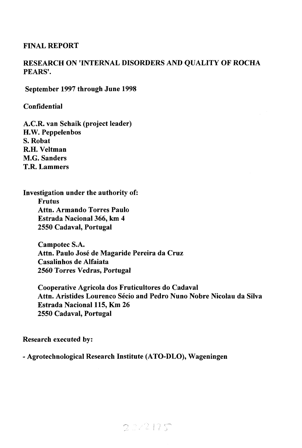# **FINAL REPORT**

# **RESEARCH ON 'INTERNAL DISORDERS AND QUALITY OF ROCHA PEARS'.**

**September 1997 through June 1998** 

**Confidential** 

**A.C.R. van Schaik (project leader) H.W. Peppelenbos S. Robat R.H. Veltman M.G. Sanders T.R. Lammers** 

**Investigation under the authority of: Frutus Attn. Armando Torres Paulo Estrada Nacional 366, km 4 2550 Cadaval, Portugal** 

> **Campotec S.A. Attn. Paulo José de Magaride Pereira da Cruz Casalinhos de Alfaiata 2560 Torres Vedras, Portugal**

**Cooperative Agricola dos Fruticultores do Cadaval Attn. Aristides Lourenco Sécio and Pedro Nuno Nobre Nicolau da Silva Estrada Nacional 115, Km 26 2550 Cadaval, Portugal** 

**Research executed by:** 

**- Agrotechnological Research Institute (ATO-DLO), Wageningen** 

 $2222125$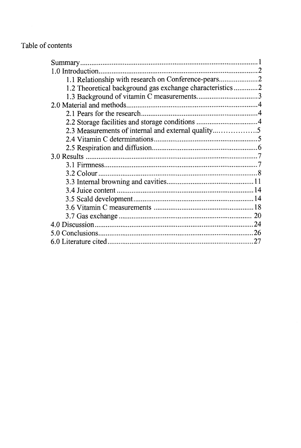# Table of contents

| 1.0 Introduction.                                       |  |
|---------------------------------------------------------|--|
| 1.1 Relationship with research on Conference-pears2     |  |
| 1.2 Theoretical background gas exchange characteristics |  |
| 1.3 Background of vitamin C measurements3               |  |
|                                                         |  |
|                                                         |  |
| 2.2 Storage facilities and storage conditions 4         |  |
| 2.3 Measurements of internal and external quality       |  |
|                                                         |  |
|                                                         |  |
|                                                         |  |
|                                                         |  |
|                                                         |  |
|                                                         |  |
|                                                         |  |
|                                                         |  |
|                                                         |  |
|                                                         |  |
|                                                         |  |
|                                                         |  |
|                                                         |  |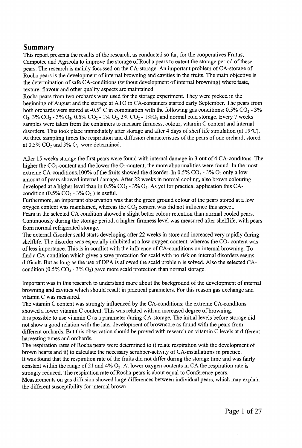#### **Summary**

This report presents the results of the research, as conducted so far, for the cooperatives Frutus, Campotec and Agricola to improve the storage of Rocha pears to extent the storage period of these pears. The research is mainly focussed on the CA-storage. An important problem of CA-storage of Rocha pears is the development of internal browning and cavities in the fruits. The main objective is the determination of safe CA-conditions (without development of internal browning) where taste, texture, flavour and other quality aspects are maintained.

Rocha pears from two orchards were used for the storage experiment. They were picked in the beginning of August and the storage at ATO in CA-containers started early September. The pears from both orchards were stored at -0.5° C in combination with the following gas conditions:  $0.5\%$  CO<sub>2</sub> - 3%  $O_2$ , 3%  $CO_2$  - 3%  $O_2$ , 0.5%  $CO_2$  - 1%  $O_2$ , 3%  $CO_2$  - 1% $O_2$  and normal cold storage. Every 7 weeks samples were taken from the containers to measure firmness, colour, vitamin C content and internal disorders. This took place immediately after storage and after 4 days of shelf life simulation (at 19°C). At three sampling times the respiration and diffusion characteristics of the pears of one orchard, stored at  $0.5\%$  CO<sub>2</sub> and  $3\%$  O<sub>2</sub> were determined.

After 15 weeks storage the first pears were found with internal damage in 3 out of 4 CA-conditons. The higher the  $CO_2$ -content and the lower the  $O_2$ -content, the more abnormalities were found. In the most extreme CA-conditions, 100% of the fruits showed the disorder. In 0.5%  $CO_2$  - 3%  $O_2$  only a low amount of pears showed internal damage. After 22 weeks in normal cooling, also brown colouring developed at a higher level than in  $0.5\%$  CO<sub>2</sub> - 3% O<sub>2</sub>. As yet for practical application this CAcondition (0.5%  $CO<sub>2</sub>$  - 3%  $O<sub>2</sub>$ ) is useful.

Furthermore, an important observation was that the green ground colour of the pears stored at a low oxygen content was maintained, whereas the  $CO<sub>2</sub>$  content was did not influence this aspect. Pears in the selected CA condition showed a slight better colour retention than normal cooled pears. Continuously during the storage period, a higher firmness level was measured after shelflife, with pears from normal refrigerated storage.

The external disorder scald starts developing after 22 weeks in store and increased very rapidly during shelflife. The disorder was especially inhibited at a low oxygen content, whereas the  $CO<sub>2</sub>$  content was of less importance. This is in conflict with the influence of CA-conditions on internal browning. To find a CA-condition which gives a save protection for scald with no risk on internal disorders seems difficult. But as long as the use of DPA is allowed the scald problem is solved. Also the selected CAcondition (0.5%  $CO<sub>2</sub>$  - 3%  $O<sub>2</sub>$ ) gave more scald protection than normal storage.

Important was in this research to understand more about the background of the development of internal browning and cavities which should result in practical parameters. For this reason gas exchange and vitamin C was measured.

The vitamin C content was strongly influenced by the CA-conditions: the extreme CA-conditons showed a lower vitamin C content. This was related with an increased degree of browning. It is possible to use vitamin C as a parameter during CA-storage. The initial levels before storage did not show a good relation with the later development of browncore as found with the pears from different orchards. But this observation should be proved with research on vitamin C levels at different harvesting times and orchards.

The respiration rates of Rocha pears were determined to i) relate respiration with the development of brown hearts and ii) to calculate the necessary scrubber-activity of CA-installations in practice. It was found that the respiration rate of the fruits did not differ during the storage time and was fairly constant within the range of 21 and 4%  $O_2$ . At lower oxygen contents in CA the respiration rate is strongly reduced. The respiration rate of Rocha-pears is about equal to Conference-pears. Measurements on gas diffusion showed large differences between individual pears, which may explain the different susceptibility for internal brown.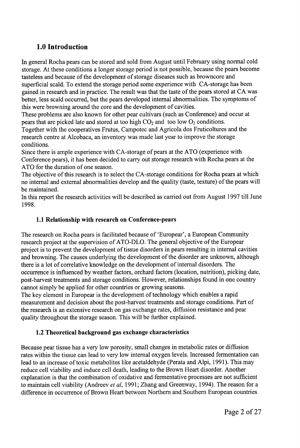# **1.0 Introduction**

In general Rocha pears can be stored and sold from August until February using normal cold storage. At these conditions a longer storage period is not possible, because the pears become tasteless and because of the development of storage diseases such as browncore and superficial scald. To extend the storage period some experience with CA-storage has been gained in research and in practice. The result was that the taste of the pears stored at CA was better, less scald occurred, but the pears developed internal abnormalities. The symptoms of this were browning around the core and the development of cavities.

These problems are also known for other pear cultivars (such as Conference) and occur at pears that are picked late and stored at too high  $CO<sub>2</sub>$  and too low  $O<sub>2</sub>$  conditions.

Together with the cooperatives Frutus, Campotec and Agricola dos Fruticoltures and the research centre at Alcobaca, an inventory was made last year to improve the storage conditions.

Since there is ample experience with CA-storage of pears at the ATO (experience with Conference pears), it has been decided to carry out storage research with Rocha pears at the ATO for the duration of one season.

The objective of this research is to select the CA-storage conditions for Rocha pears at which no internal and external abnormalities develop and the quality (taste, texture) of the pears will be maintained.

In this report the research activities will be described as carried out from August 1997 till June 1998.

# **1.1 Relationship with research on Conference-pears**

The research on Rocha pears is facilitated because of 'Europear', a European Community research project at the supervision of ATO-DLO. The general objective of the Europear project is to prevent the development of tissue disorders in pears resulting in internal cavities and browning. The causes underlying the development of the disorder are unknown, although there is a lot of correlative knowledge on the development of internal disorders. The occurrence is influenced by weather factors, orchard factors (location, nutrition), picking date, post-harvest treatments and storage conditions. However, relationships found in one country cannot simply be applied for other countries or growing seasons.

The key element in Europear is the development of technology which enables a rapid measurement and decision about the post-harvest treatments and storage conditions. Part of the research is an extensive research on gas exchange rates, diffusion resistance and pear quality throughout the storage season. This will be further explained.

#### **1.2 Theoretical background gas exchange characteristics**

Because pear tissue has a very low porosity, small changes in metabolic rates or diffusion rates within the tissue can lead to very low internal oxygen levels. Increased fermentation can lead to an increase of toxic metabolites like acetaldehyde (Perata and Alpi, 1991). This may reduce cell viability and induce cell death, leading to the Brown Heart disorder. Another explanation is that the combination of oxidative and fermentative processes are not sufficient to maintain cell viability (Andreev *et al,* 1991; Zhang and Greenway, 1994). The reason for a difference in occurrence of Brown Heart between Northern and Southern European countries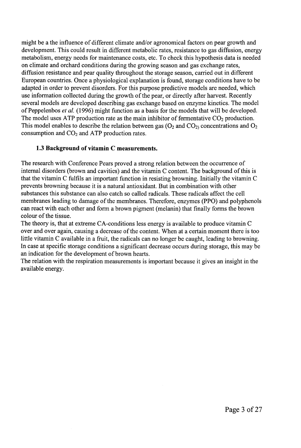might be a the influence of different climate and/or agronomical factors on pear growth and development. This could result in different metabolic rates, resistance to gas diffusion, energy metabolism, energy needs for maintenance costs, etc. To check this hypothesis data is needed on climate and orchard conditions during the growing season and gas exchange rates, diffusion resistance and pear quality throughout the storage season, carried out in different European countries. Once a physiological explanation is found, storage conditions have to be adapted in order to prevent disorders. For this purpose predictive models are needed, which use information collected during the growth of the pear, or directly after harvest. Recently several models are developed describing gas exchange based on enzyme kinetics. The model of Peppelenbos *et al.* (1996) might function as a basis for the models that will be developed. The model uses ATP production rate as the main inhibitor of fermentative  $CO<sub>2</sub>$  production. This model enables to describe the relation between gas  $(O_2 \text{ and } CO_2)$  concentrations and  $O_2$ consumption and  $CO<sub>2</sub>$  and ATP production rates.

### **1.3 Background of vitamin C measurements.**

The research with Conference Pears proved a strong relation between the occurrence of internal disorders (brown and cavities) and the vitamin C content. The background of this is that the vitamin C fulfils an important function in resisting browning. Initially the vitamin C prevents browning because it is a natural antioxidant. But in combination with other substances this substance can also catch so called radicals. These radicals affect the cell membranes leading to damage of the membranes. Therefore, enzymes (PPO) and polyphenols can react with each other and form a brown pigment (melanin) that finally forms the brown colour of the tissue.

The theory is, that at extreme CA-conditions less energy is available to produce vitamin C over and over again, causing a decrease of the content. When at a certain moment there is too little vitamin C available in a fruit, the radicals can no longer be caught, leading to browning. In case at specific storage conditions a significant decrease occurs during storage, this may be an indication for the development of brown hearts.

The relation with the respiration measurements is important because it gives an insight in the available energy.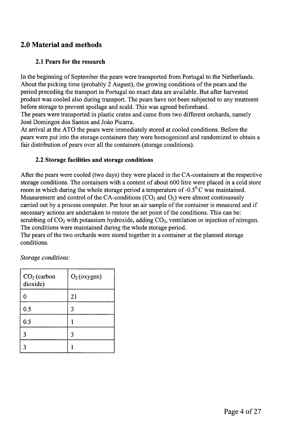# **2.0 Material and methods**

# **2.1 Pears for the research**

In the beginning of September the pears were transported from Portugal to the Netherlands. About the picking time (probably 2 August), the growing conditions of the pears and the period preceding the transport in Portugal no exact data are available. But after harvested product was cooled also during transport. The pears have not been subjected to any treatment before storage to prevent spoilage and scald. This was agreed beforehand.

The pears were transported in plastic crates and came from two different orchards, namely José Domingos dos Santos and Joâo Picarra.

At arrival at the ATO the pears were immediately stored at cooled conditions. Before the pears were put into the storage containers they were homogenized and randomized to obtain a fair distribution of pears over all the containers (storage conditions).

### **2.2 Storage facilities and storage conditions**

After the pears were cooled (two days) they were placed in the CA-containers at the respective storage conditions. The containers with a content of about 600 litre were placed in a cold store room in which during the whole storage period a temperature of -0.5° C was maintained. Measurement and control of the CA-conditions  $(CO_2$  and  $O_2)$  were almost continuously carried out by a process computer. Per hour an air sample of the container is measured and if necessary actions are undertaken to restore the set point of the conditions. This can be: scrubbing of  $CO<sub>2</sub>$  with potassium hydroxide, adding  $CO<sub>2</sub>$ , ventilation or injection of nitrogen. The conditions were maintained during the whole storage period.

The pears of the two orchards were stored together in a container at the planned storage conditions.

| $CO2$ (carbon<br>dioxide) | $O2$ (oxygen) |
|---------------------------|---------------|
| 0                         | 21            |
| 0.5                       | 3             |
| 0.5                       |               |
| 3                         |               |
| 3                         |               |

*Storage conditions:*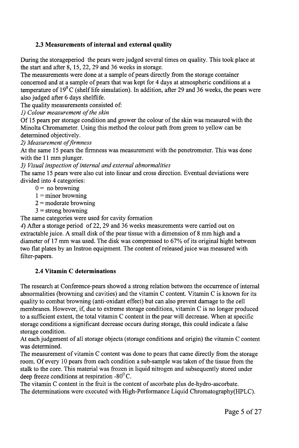# **2.3 Measurements of internal and external quality**

During the storageperiod the pears were judged several times on quality. This took place at the start and after 8, 15, 22, 29 and 36 weeks in storage.

The measurements were done at a sample of pears directly from the storage container concerned and at a sample of pears that was kept for 4 days at atmospheric conditions at a temperature of  $19^0$ C (shelf life simulation). In addition, after 29 and 36 weeks, the pears were also judged after 6 days shelflife.

The quality measurements consisted of:

*1) Colour measurement of the skin* 

Of 15 pears per storage condition and grower the colour of the skin was measured with the Minolta Chromameter. Using this method the colour path from green to yellow can be determined objectively.

*2) Measurement of firmness* 

At the same 15 pears the firmness was measurement with the penetrometer. This was done with the 11 mm plunger.

*3) Visual inspection of internal and external abnormalities* 

The same 15 pears were also cut into linear and cross direction. Eventual deviations were divided into 4 categories:

 $0 =$  no browning

- $1 =$ minor browning
- $2 =$  moderate browning
- $3 =$  strong browning

The same categories were used for cavity formation

*4)* After a storage period of 22, 29 and 36 weeks measurements were carried out on extractable juice. A small disk of the pear tissue with a dimension of 8 mm high and a diameter of 17 mm was used. The disk was compressed to 67% of its original hight between two flat plates by an Instron equipment. The content of released juice was measured with filter-papers.

#### **2.4 Vitamin C determinations**

The research at Conference-pears showed a strong relation between the occurrence of internal abnormalities (browning and cavities) and the vitamin C content. Vitamin C is known for its quality to combat browning (anti-oxidant effect) but can also prevent damage to the cell membranes. However, if, due to extreme storage conditions, vitamin C is no longer produced to a sufficient extent, the total vitamin C content in the pear will decrease. When at specific storage conditions a significant decrease occurs during storage, this could indicate a false storage condition.

At each judgement of all storage objects (storage conditions and origin) the vitamin C content was determined.

The measurement of vitamin C content was done to pears that came directly from the storage room. Of every 10 pears from each condition a sub-sample was taken of the tissue from the stalk to the core. This material was frozen in liquid nitrogen and subsequently stored under deep freeze conditions at respiration -80 $\rm ^{0}C$ .

The vitamin C content in the fruit is the content of ascorbate plus de-hydro-ascorbate. The determinations were executed with High-Performance Liquid Chromatography(HPLC).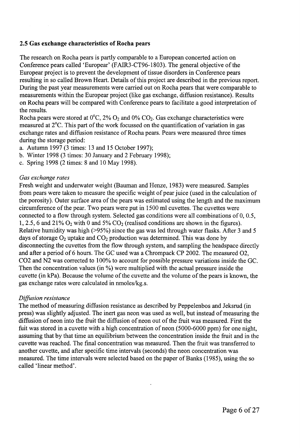#### **2.5 Gas exchange characteristics of Rocha pears**

The research on Rocha pears is partly comparable to a European concerted action on Conference pears called 'Europear' (FAIR3-CT96-1803). The general objective of the Europear project is to prevent the development of tissue disorders in Conference pears resulting in so called Brown Heart. Details of this project are described in the previous report. During the past year measurements were carried out on Rocha pears that were comparable to measurements within the Europear project (like gas exchange, diffusion resistance). Results on Rocha pears will be compared with Conference pears to facilitate a good interpretation of the results.

Rocha pears were stored at  $0^{\circ}$ C,  $2\%$  O<sub>2</sub> and  $0\%$  CO<sub>2</sub>. Gas exchange characteristics were measured at 2°C. This part of the work focussed on the quantification of variation in gas exchange rates and diffusion resistance of Rocha pears. Pears were measured three times during the storage period:

- a. Autumn 1997 (3 times: 13 and 15 October 1997);
- b. Winter 1998 (3 times: 30 January and 2 February 1998);
- c. Spring 1998 (2 times: 8 and 10 May 1998).

#### *Gas exchange rates*

Fresh weight and underwater weight (Bauman and Henze, 1983) were measured. Samples from pears were taken to measure the specific weight of pear juice (used in the calculation of the porosity). Outer surface area of the pears was estimated using the length and the maximum circumference of the pear. Two pears were put in 1500 ml cuvettes. The cuvettes were connected to a flow through system. Selected gas conditions were all combinations of 0, 0.5, 1, 2.5, 6 and 21%  $O_2$  with 0 and 5%  $CO_2$  (realised conditions are shown in the figures). Relative humidity was high (>95%) since the gas was led through water flasks. After 3 and 5 days of storage  $O_2$  uptake and  $CO_2$  production was determined. This was done by disconnecting the cuvettes from the flow through system, and sampling the headspace directly and after a period of 6 hours. The GC used was a Chrompack CP 2002. The measured 02, C02 and N2 was corrected to 100% to account for possible pressure variations inside the GC. Then the concentration values (in %) were multiplied with the actual pressure inside the cuvette (in kPa). Because the volume of the cuvette and the volume of the pears is known, the gas exchange rates were calculated in nmoles/kg.s.

#### *Diffusion resistance*

The method of measuring diffusion resistance as described by Peppelenbos and Jeksrud (in press) was slightly adjusted. The inert gas neon was used as well, but instead of measuring the diffusion of neon into the fruit the diffusion of neon out of the fruit was measured. First the fuit was stored in a cuvette with a high concentration of neon (5000-6000 ppm) for one night, assuming that by that time an equilibrium between the concentration inside the fruit and in the cuvette was reached. The final concentration was measured. Then the fruit was transferred to another cuvette, and after specific time intervals (seconds) the neon concentration was measured. The time intervals were selected based on the paper of Banks (1985), using the so called 'linear method'.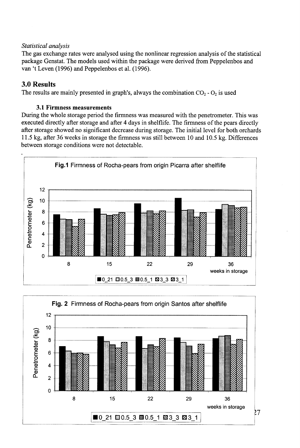#### *Statistical analysis*

The gas exchange rates were analysed using the nonlinear regression analysis of the statistical package Genstat. The models used within the package were derived from Peppelenbos and van 't Leven (1996) and Peppelenbos et al. (1996).

# **3.0 Results**

The results are mainly presented in graph's, always the combination  $CO_2$  -  $O_2$  is used

### **3.1 Firmness measurements**

During the whole storage period the firmness was measured with the penetrometer. This was executed directly after storage and after 4 days in shelflife. The firmness of the pears directly after storage showed no significant decrease during storage. The initial level for both orchards 11.5 kg, after 36 weeks in storage the firmness was still between 10 and 10.5 kg. Differences between storage conditions were not detectable.



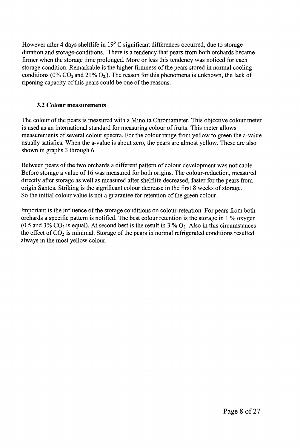However after 4 days shelflife in 19° C significant differences occurred, due to storage duration and storage-conditions. There is a tendency that pears from both orchards became firmer when the storage time prolonged. More or less this tendency was noticed for each storage condition. Remarkable is the higher firmness of the pears stored in normal cooling conditions ( $0\%$  CO<sub>2</sub> and 21% O<sub>2</sub>). The reason for this phenomena is unknown, the lack of ripening capacity of this pears could be one of the reasons.

# **3.2 Colour measurements**

The colour of the pears is measured with a Minolta Chromameter. This objective colour meter is used as an international standard for measuring colour of fruits. This meter allows measurements of several colour spectra. For the colour range from yellow to green the a-value usually satisfies. When the a-value is about zero, the pears are almost yellow. These are also shown in graphs 3 through 6.

Between pears of the two orchards a different pattern of colour development was noticable. Before storage a value of 16 was measured for both origins. The colour-reduction, measured directly after storage as well as measured after shelflife decreased, faster for the pears from origin Santos. Striking is the significant colour decrease in the first 8 weeks of storage. So the initial colour value is not a guarantee for retention of the green colour.

Important is the influence of the storage conditions on colour-retention. For pears from both orchards a specific pattern is notified. The best colour retention is the storage in 1 % oxygen (0.5 and  $3\%$  CO<sub>2</sub> is equal). At second best is the result in  $3\%$  O<sub>2</sub>. Also in this circumstances the effect of  $CO<sub>2</sub>$  is minimal. Storage of the pears in normal refrigerated conditions resulted always in the most yellow colour.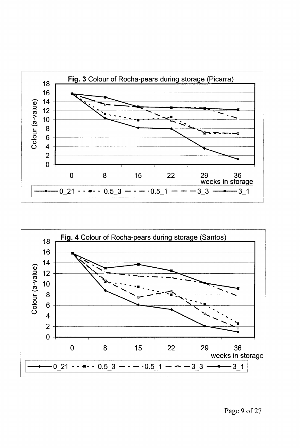



Page 9 of 27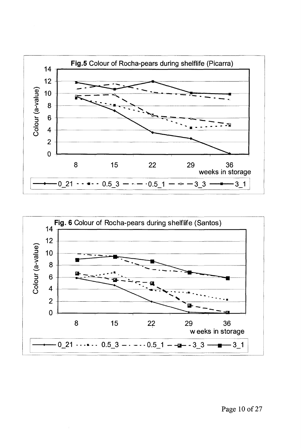

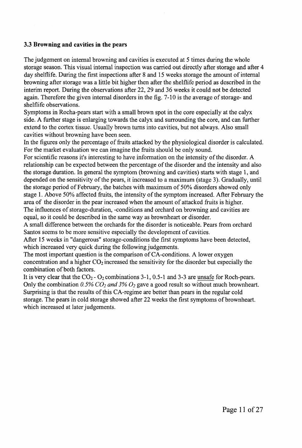#### **3.3 Browning and cavities in the pears**

The judgement on internal browning and cavities is executed at 5 times during the whole storage season. This visual internal inspection was carried out directly after storage and after 4 day shelflife. During the first inspections after 8 and 15 weeks storage the amount of internal browning after storage was a little bit higher then after the shelflife period as described in the interim report. During the observations after 22, 29 and 36 weeks it could not be detected again. Therefore the given internal disorders in the fig. 7-10 is the average of storage- and shelflife observations.

Symptoms in Rocha-pears start with a small brown spot in the core especially at the calyx side. A further stage is enlarging towards the calyx and surrounding the core, and can further extend to the cortex tissue. Usually brown turns into cavities, but not always. Also small cavities without browning have been seen.

In the figures only the percentage of fruits attacked by the physiological disorder is calculated. For the market evaluation we can imagine the fruits should be only sound.

For scientific reasons it's interesting to have information on the intensity of the disorder. A relationship can be expected between the percentage of the disorder and the intensity and also the storage duration. In general the symptom (browning and cavities) starts with stage 1, and depended on the sensitivity of the pears, it increased to a maximum (stage 3). Gradually, until the storage period of February, the batches with maximum of 50% disorders showed only stage 1. Above 50% affected fruits, the intensity of the symptom increased. After February the area of the disorder in the pear increased when the amount of attacked fruits is higher. The influences of storage-duration, -conditions and orchard on browning and cavities are

equal, so it could be described in the same way as brownheart or disorder.

A small difference between the orchards for the disorder is noticeable. Pears from orchard Santos seems to be more sensitive especially the development of cavities.

After 15 weeks in "dangerous" storage-conditions the first symptoms have been detected, which increased very quick during the following judgements.

The most important question is the comparison of CA-conditions. A lower oxygen concentration and a higher  $CO<sub>2</sub>$  increased the sensitivity for the disorder but especially the combination of both factors.

It is very clear that the  $CO_2$ - $O_2$  combinations 3-1, 0.5-1 and 3-3 are unsafe for Roch-pears. Only the combination 0.5% CO<sub>2</sub> and 3% O<sub>2</sub> gave a good result so without much brownheart. Surprising is that the results of this CA-regime are better than pears in the regular cold storage. The pears in cold storage showed after 22 weeks the first symptoms of brownheart. which increased at later judgements.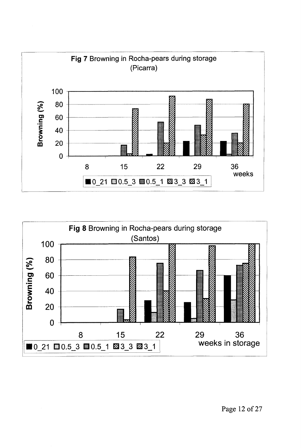

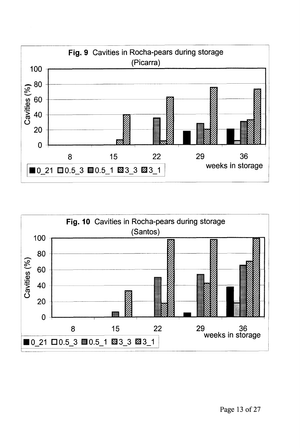

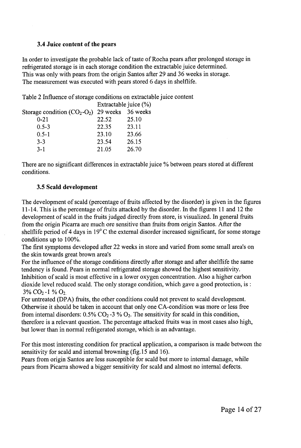#### **3.4 Juice content of the pears**

In order to investigate the probable lack of taste of Rocha pears after prolonged storage in refrigerated storage is in each storage condition the extractable juice determined. This was only with pears from the origin Santos after 29 and 36 weeks in storage. The measurement was executed with pears stored 6 days in shelflife.

Table 2 Influence of storage conditions on extractable juice content

|                                | Extractable juice (%) |       |  |
|--------------------------------|-----------------------|-------|--|
| Storage condition $(CO_2-O_2)$ | 29 weeks 36 weeks     |       |  |
| $0 - 21$                       | 22.52                 | 25.10 |  |
| $0.5 - 3$                      | 22.35                 | 23.11 |  |
| $0.5 - 1$                      | 23.10                 | 23.66 |  |
| $3 - 3$                        | 23.54                 | 26.15 |  |
| $3 - 1$                        | 21.05                 | 26.70 |  |
|                                |                       |       |  |

There are no significant differences in extractable juice % between pears stored at different conditions.

### **3.5 Scald development**

The development of scald (percentage of fruits affected by the disorder) is given in the figures 11-14. This is the percentage of fruits attacked by the disorder. In the figures 11 and 12 the development of scald in the fruits judged directly from store, is visualized. In general fruits from the origin Picarra are much ore sensitive than fruits from origin Santos. After the shelflife period of 4 days in 19° C the external disorder increased significant, for some storage conditions up to 100%.

The first symptoms developed after 22 weeks in store and varied from some small area's on the skin towards great brown area's

For the influence of the storage conditions directly after storage and after shelflife the same tendency is found. Pears in normal refrigerated storage showed the highest sensitivity. Inhibition of scald is most effective in a lower oxygen concentration. Also a higher carbon dioxide level reduced scald. The only storage condition, which gave a good protection, is :  $3\%$  CO<sub>2</sub>-1 % O<sub>2</sub>.

For untreated (DPA) fruits, the other conditions could not prevent to scald development. Otherwise it should be taken in account that only one CA-condition was more or less free from internal disorders:  $0.5\%$  CO<sub>2</sub>-3 % O<sub>2</sub>. The sensitivity for scald in this condition, therefore is a relevant question. The percentage attacked fruits was in most cases also high, but lower than in normal refrigerated storage, which is an advantage.

For this most interesting condition for practical application, a comparison is made between the sensitivity for scald and internal browning (fig. 15 and 16).

Pears from origin Santos are less susceptible for scald but more to internal damage, while pears from Picarra showed a bigger sensitivity for scald and almost no internal defects.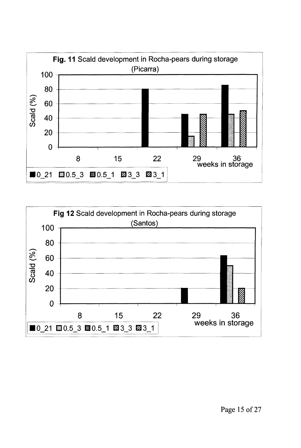



Page 15 of 27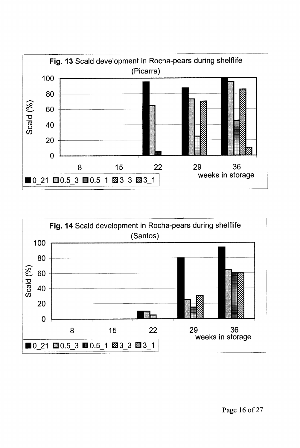

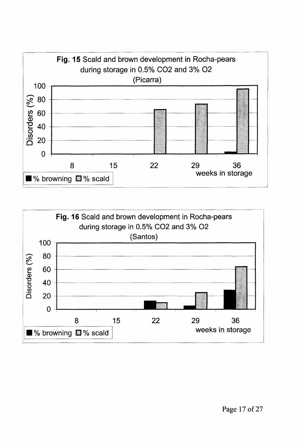

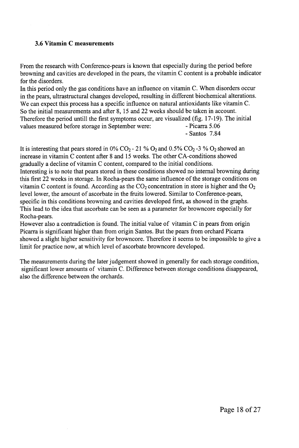#### **3.6 Vitamin C measurements**

From the research with Conference-pears is known that especially during the period before browning and cavities are developed in the pears, the vitamin C content is a probable indicator for the disorders.

In this period only the gas conditions have an influence on vitamin C. When disorders occur in the pears, ultrastructural changes developed, resulting in different biochemical alterations. We can expect this process has a specific influence on natural antioxidants like vitamin C. So the initial measurements and after 8, 15 and 22 weeks should be taken in account. Therefore the period untill the first symptoms occur, are visualized (fig. 17-19). The initial values measured before storage in September were: - Picarra 5.06 - Santos 7.84

It is interesting that pears stored in  $0\%$  CO<sub>2</sub> - 21 % O<sub>2</sub> and 0.5% CO<sub>2</sub> - 3 % O<sub>2</sub> showed an increase in vitamin C content after 8 and 15 weeks. The other CA-conditions showed gradually a decline of vitamin C content, compared to the initial conditions.

Interesting is to note that pears stored in these conditions showed no internal browning during this first 22 weeks in storage. In Rocha-pears the same influence of the storage conditions on vitamin C content is found. According as the  $CO_2$  concentration in store is higher and the  $O_2$ level lower, the amount of ascorbate in the fruits lowered. Similar to Conference-pears, specific in this conditions browning and cavities developed first, as showed in the graphs. This lead to the idea that ascorbate can be seen as a parameter for browncore especially for Rocha-pears.

However also a contradiction is found. The initial value of vitamin C in pears from origin Picarra is significant higher than from origin Santos. But the pears from orchard Picarra showed a slight higher sensitivity for browncore. Therefore it seems to be impossible to give a limit for practice now, at which level of ascorbate browncore developed.

The measurements during the later judgement showed in generally for each storage condition, significant lower amounts of vitamin C. Difference between storage conditions disappeared, also the difference between the orchards.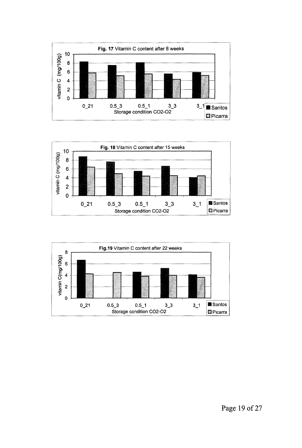



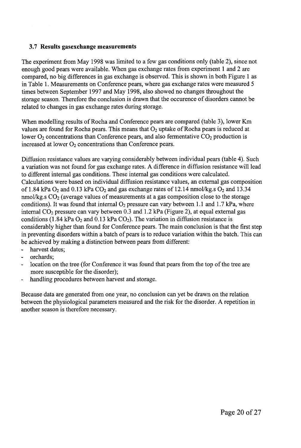#### **3.7 Results gasexchange measurements**

The experiment from May 1998 was limited to a few gas conditions only (table 2), since not enough good pears were available. When gas exchange rates from experiment 1 and 2 are compared, no big differences in gas exchange is observed. This is shown in both Figure 1 as in Table 1. Measurements on Conference pears, where gas exchange rates were measured 5 times between September 1997 and May 1998, also showed no changes throughout the storage season. Therefore the conclusion is drawn that the occurence of disorders cannot be related to changes in gas exchange rates during storage.

When modelling results of Rocha and Conference pears are compared (table 3), lower Km values are found for Rocha pears. This means that  $O<sub>2</sub>$  uptake of Rocha pears is reduced at lower  $O_2$  concentrations than Conference pears, and also fermentative  $CO_2$  production is increased at lower  $O_2$  concentrations than Conference pears.

Diffusion resistance values are varying considerably between individual pears (table 4). Such a variation was not found for gas exchange rates. A difference in diffusion resistance will lead to different internal gas conditions. These internal gas conditions were calculated. Calculations were based on individual diffusion resistance values, an external gas composition of 1.84 kPa  $O_2$  and 0.13 kPa  $CO_2$  and gas exchange rates of 12.14 nmol/kg.s  $O_2$  and 13.34 nmol/kg.s  $CO<sub>2</sub>$  (average values of measurements at a gas composition close to the storage conditions). It was found that internal  $O_2$  pressure can vary between 1.1 and 1.7 kPa, where internal  $CO<sub>2</sub>$  pressure can vary between 0.3 and 1.2 kPa (Figure 2), at equal external gas conditions (1.84 kPa  $O_2$  and 0.13 kPa  $CO_2$ ). The variation in diffusion resistance is considerably higher than found for Conference pears. The main conclusion is that the first step in preventing disorders within a batch of pears is to reduce variation within the batch. This can be achieved by making a distinction between pears from different:

- harvest dates;
- orchards:
- location on the tree (for Conference it was found that pears from the top of the tree are more susceptible for the disorder);
- handling procedures between harvest and storage.

Because data are generated from one year, no conclusion can yet be drawn on the relation between the physiological parameters measured and the risk for the disorder. A repetition in another season is therefore necessary.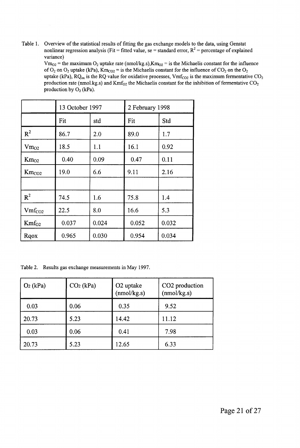**Table 1. Overview of the statistical results of fitting the gas exchange models to the data, using Genstat nonlinear regression analysis (Fit = fitted value, se = standard error,**  $R^2$  **= percentage of explained variance)** 

 $Vm_{O2}$  = the maximum  $O_2$  uptake rate (nmol/kg.s), $Km_{O2}$  = is the Michaelis constant for the influence **of**  $O_2$  **on**  $O_2$  **uptake (kPa), Km**<sub> $CO_2$ </sub> = **is the Michaelis constant for the influence of**  $CO_2$  **<b>on the**  $O_2$ **uptake (kPa), RQ**<sub> $\alpha$ </sub> is the RQ value for oxidative processes, Vmf<sub>CO2</sub> is the maximum fermentative CO<sub>2</sub> **production rate (nmol.kg.s) and Kmf02 the Michaelis constant for the inhibition of fermentative C0<sup>2</sup> production by 02 (kPa).** 

|                    | 13 October 1997 |       | 2 February 1998 |       |
|--------------------|-----------------|-------|-----------------|-------|
|                    | Fit             | std   | Fit             | Std   |
| $R^2$              | 86.7            | 2.0   | 89.0            | 1.7   |
| $Vm_{O2}$          | 18.5            | 1.1   | 16.1            | 0.92  |
| $Km_{O2}$          | 0.40            | 0.09  | 0.47            | 0.11  |
| $Km_{CO2}$         | 19.0            | 6.6   | 9.11            | 2.16  |
|                    |                 |       |                 |       |
| $R^2$              | 74.5            | 1.6   | 75.8            | 1.4   |
| Vmf <sub>CO2</sub> | 22.5            | 8.0   | 16.6            | 5.3   |
| $Km f_{O2}$        | 0.037           | 0.024 | 0.052           | 0.032 |
| Rqox               | 0.965           | 0.030 | 0.954           | 0.034 |

**Table 2. Results gas exchange measurements in May 1997.** 

| $O2$ (kPa) | $CO2$ (kPa) | O <sub>2</sub> uptake<br>(mmol/kg.s) | CO <sub>2</sub> production<br>(mmol/kg.s) |
|------------|-------------|--------------------------------------|-------------------------------------------|
| 0.03       | 0.06        | 0.35                                 | 9.52                                      |
| 20.73      | 5.23        | 14.42                                | 11.12                                     |
| 0.03       | 0.06        | 0.41                                 | 7.98                                      |
| 20.73      | 5.23        | 12.65                                | 6.33                                      |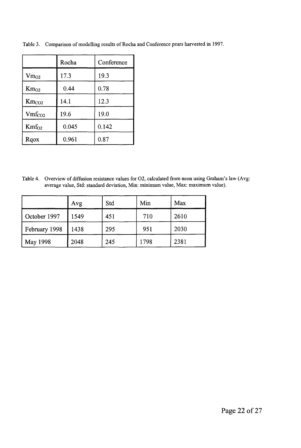|                    | Rocha | Conference |  |
|--------------------|-------|------------|--|
| $Vm_{O2}$          | 17.3  | 19.3       |  |
| $Km_{O2}$          | 0.44  | 0.78       |  |
| $Km_{CO2}$         | 14.1  | 12.3       |  |
| Vmf <sub>CO2</sub> | 19.6  | 19.0       |  |
| Kmf <sub>O2</sub>  | 0.045 | 0.142      |  |
| Rqox               | 0.961 | 0.87       |  |

**Table 3. Comparison of modelling results of Rocha and Conference pears harvested in 1997.** 

**Table 4. Overview of diffusion resistance values for 02, calculated from neon using Graham's law (Avg: average value, Std: standard deviation, Min: minimum value, Max: maximum value).** 

|               | Avg  | Std | Min  | Max  |
|---------------|------|-----|------|------|
| October 1997  | 1549 | 451 | 710  | 2610 |
| February 1998 | 1438 | 295 | 951  | 2030 |
| May 1998      | 2048 | 245 | 1798 | 2381 |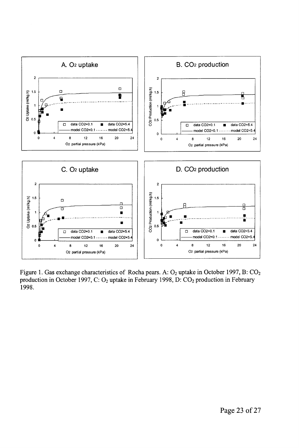

Figure 1. Gas exchange characteristics of Rocha pears. A:  $O_2$  uptake in October 1997, B:  $CO_2$ production in October 1997, C: O<sub>2</sub> uptake in February 1998, D: CO<sub>2</sub> production in February 1998.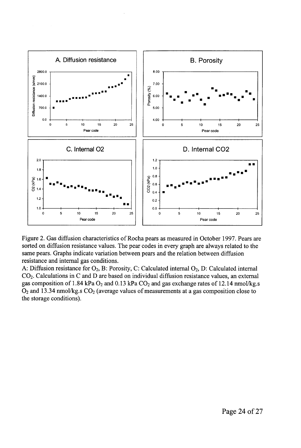

Figure 2. Gas diffusion characteristics of Rocha pears as measured in October 1997. Pears are sorted on diffusion resistance values. The pear codes in every graph are always related to the same pears. Graphs indicate variation between pears and the relation between diffusion resistance and internal gas conditions.

A: Diffusion resistance for  $O_2$ , B: Porosity, C: Calculated internal  $O_2$ , D: Calculated internal CO2. Calculations in C and D are based on individual diffusion resistance values, an external gas composition of 1.84 kPa  $O_2$  and 0.13 kPa  $CO_2$  and gas exchange rates of 12.14 nmol/kg.s  $O_2$  and 13.34 nmol/kg.s  $CO_2$  (average values of measurements at a gas composition close to the storage conditions).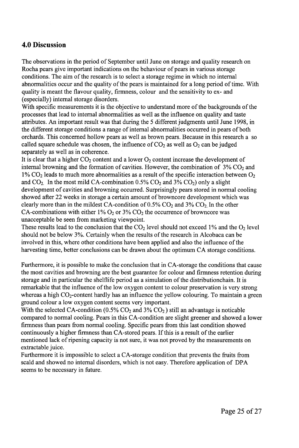# **4.0 Discussion**

The observations in the period of September until June on storage and quality research on Rocha pears give important indications on the behaviour of pears in various storage conditions. The aim of the research is to select a storage regime in which no internal abnormalities occur and the quality of the pears is maintained for a long period of time. With quality is meant the flavour quality, firmness, colour and the sensitivity to ex- and (especially) internal storage disorders.

With specific measurements it is the objective to understand more of the backgrounds of the processes that lead to internal abnormalities as well as the influence on quality and taste attributes. An important result was that during the 5 different judgments until June 1998, in the different storage conditions a range of internal abnormalities occurred in pears of both orchards. This concerned hollow pears as well as brown pears. Because in this research a so called square schedule was chosen, the influence of  $CO<sub>2</sub>$  as well as  $O<sub>2</sub>$  can be judged separately as well as in coherence.

It is clear that a higher  $CO_2$  content and a lower  $O_2$  content increase the development of internal browning and the formation of cavities. However, the combination of  $3\%$  CO<sub>2</sub> and  $1\%$  CO<sub>2</sub> leads to much more abnormalities as a result of the specific interaction between O<sub>2</sub> and  $CO_2$ . In the most mild CA-combination 0.5%  $CO_2$  and 3%  $CO_2$ ) only a slight development of cavities and browning occurred. Surprisingly pears stored in normal cooling showed after 22 weeks in storage a certain amount of browncore development which was clearly more than in the mildest CA-condition of  $0.5\%$  CO<sub>2</sub> and  $3\%$  CO<sub>2</sub>. In the other CA-combinations with either  $1\%$  O<sub>2</sub> or  $3\%$  CO<sub>2</sub> the occurrence of browncore was unacceptable be seen from marketing viewpoint.

These results lead to the conclusion that the  $CO<sub>2</sub>$  level should not exceed 1% and the  $O<sub>2</sub>$  level should not be below 3%. Certainly when the results of the research in Alcobaca can be involved in this, where other conditions have been applied and also the influence of the harvesting time, better conclusions can be drawn about the optimum CA storage conditions.

Furthermore, it is possible to make the conclusion that in CA-storage the conditions that cause the most cavities and browning are the best guarantee for colour and firmness retention during storage and in particular the shelflife period as a simulation of the distributionchain. It is remarkable that the influence of the low oxygen content to colour preservation is very strong whereas a high  $CO_2$ -content hardly has an influence the yellow colouring. To maintain a green ground colour a low oxygen content seems very important.

With the selected CA-condition  $(0.5\% \text{ CO}_2 \text{ and } 3\% \text{ CO}_2)$  still an advantage is noticable compared to normal cooling. Pears in this CA-condition are slight greener and showed a lower firmness than pears from normal cooling. Specific pears from this last condition showed continuously a higher firmness than CA-stored pears. If this is a result of the earlier mentioned lack of ripening capacity is not sure, it was not proved by the measurements on extractable juice.

Furthermore it is impossible to select a CA-storage condition that prevents the fruits from scald and showed no internal disorders, which is not easy. Therefore application of DPA seems to be necessary in future.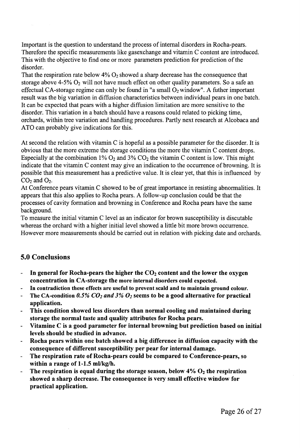Important is the question to understand the process of internal disorders in Rocha-pears. Therefore the specific measurements like gasexchange and vitamin C content are introduced. This with the objective to find one or more parameters prediction for prediction of the disorder.

That the respiration rate below  $4\%$  O<sub>2</sub> showed a sharp decrease has the consequence that storage above 4-5%  $O_2$  will not have much effect on other quality parameters. So a safe an effectual CA-storage regime can only be found in "a small  $O<sub>2</sub>$  window". A futher important result was the big variation in diffusion characteristics between individual pears in one batch. It can be expected that pears with a higher diffusion limitation are more sensitive to the disorder. This variation in a batch should have a reasons could related to picking time, orchards, within tree variation and handling procedures. Partly next research at Alcobaca and ATO can probably give indications for this.

At second the relation with vitamin C is hopeful as a possible parameter for the disorder. It is obvious that the more extreme the storage conditions the more the vitamin C content drops. Especially at the combination 1%  $O_2$  and 3%  $CO_2$  the vitamin C content is low. This might indicate that the vitamin C content may give an indication to the occurrence of browning. It is possible that this measurement has a predictive value. It is clear yet, that this is influenced by  $CO<sub>2</sub>$  and  $O<sub>2</sub>$ .

At Conference pears vitamin C showed to be of great importance in resisting abnormalities. It appears that this also applies to Rocha pears. A follow-up conclusion could be that the processes of cavity formation and browning in Conference and Rocha pears have the same background.

To measure the initial vitamin C level as an indicator for brown susceptibility is discutable whereas the orchard with a higher initial level showed a little bit more brown occurrence. However more measurements should be carried out in relation with picking date and orchards.

# **5.0 Conclusions**

- **-** In general for Rocha-pears the higher the  $CO<sub>2</sub>$  content and the lower the oxygen **concentration in CA-storage the more internal disorders could expected.**
- **In contradiction these effects are useful to prevent scald and to maintain ground colour.**   $\overline{a}$
- **The CA-condition** *0.5% CO2 and 3% O2* **seems to be a good alternative for practical application.**
- **This condition showed less disorders than normal cooling and maintained during storage the normal taste and quality attributes for Rocha pears.**
- **Vitamine C is a good parameter for internal browning but prediction based on initial levels should be studied in advance.**
- **Rocha pears within one batch showed a big difference in diffusion capacity with the consequence of different susceptibility per pear for internal damage.**
- **The respiration rate of Rocha-pears could be compared to Conference-pears, so**   $\blacksquare$ **within a range of 1-1.5 ml/kg/h.**
- **The respiration is equal during the storage season, below 4% 02 the respiration showed a sharp decrease. The consequence is very small effective window for practical application.**